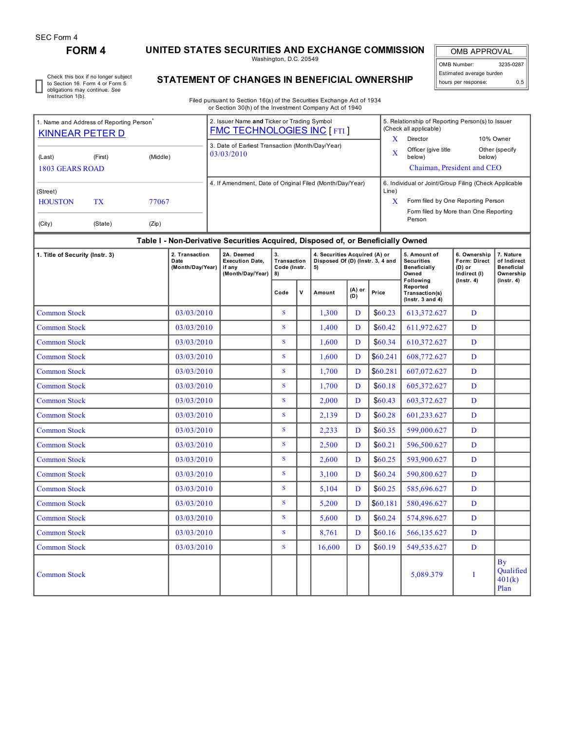# **FORM 4 UNITED STATES SECURITIES AND EXCHANGE COMMISSION**

Washington, D.C. 20549

OMB APPROVAL OMB Number: 3235-0287 Estimated average burden hours per response: 0.5

Check this box if no longer subject to Section 16. Form 4 or Form 5 obligations may continue. *See* Instruction 1(b).

## **STATEMENT OF CHANGES IN BENEFICIAL OWNERSHIP**

Filed pursuant to Section 16(a) of the Securities Exchange Act of 1934 or Section 30(h) of the Investment Company Act of 1940

| . Name and Address of Reporting Person<br><b>KINNEAR PETER D</b> |         |       | 2. Issuer Name and Ticker or Trading Symbol<br><b>FMC TECHNOLOGIES INC [FTI]</b> |                                      | 5. Relationship of Reporting Person(s) to Issuer<br>(Check all applicable)                                                           |                                       |  |
|------------------------------------------------------------------|---------|-------|----------------------------------------------------------------------------------|--------------------------------------|--------------------------------------------------------------------------------------------------------------------------------------|---------------------------------------|--|
| (Middle)<br>(Last)<br>(First)<br>1803 GEARS ROAD                 |         |       | 3. Date of Earliest Transaction (Month/Day/Year)<br>03/03/2010                   | $\lambda$<br>$\overline{\mathbf{X}}$ | Director<br>Officer (give title<br>below)<br>Chaiman, President and CEO                                                              | 10% Owner<br>Other (specify<br>below) |  |
| (Street)<br><b>HOUSTON</b><br><b>TX</b>                          |         | 77067 | 4. If Amendment, Date of Original Filed (Month/Day/Year)                         | Line)<br>X                           | 6. Individual or Joint/Group Filing (Check Applicable<br>Form filed by One Reporting Person<br>Form filed by More than One Reporting |                                       |  |
| (City)                                                           | (State) | (Zip) |                                                                                  |                                      | Person                                                                                                                               |                                       |  |

### **Table I - Non-Derivative Securities Acquired, Disposed of, or Beneficially Owned**

| 1. Title of Security (Instr. 3) | 2. Transaction<br>Date<br>(Month/Day/Year) | 2A. Deemed<br><b>Execution Date,</b><br>if anv<br>(Month/Day/Year) | 3.<br>Transaction<br>Code (Instr.<br>8) |   | 4. Securities Acquired (A) or<br>Disposed Of (D) (Instr. 3, 4 and<br>5) |   |          | 5. Amount of<br><b>Securities</b><br><b>Beneficially</b><br>Owned | 6. Ownership<br>Form: Direct<br>$(D)$ or<br>Indirect (I) | 7. Nature<br>of Indirect<br><b>Beneficial</b><br>Ownership<br>$($ lnstr. 4 $)$ |
|---------------------------------|--------------------------------------------|--------------------------------------------------------------------|-----------------------------------------|---|-------------------------------------------------------------------------|---|----------|-------------------------------------------------------------------|----------------------------------------------------------|--------------------------------------------------------------------------------|
|                                 |                                            |                                                                    | Code                                    | v | $(A)$ or<br>Amount<br>(D)                                               |   | Price    | Following<br>Reported<br>Transaction(s)<br>$($ Instr. 3 and 4 $)$ | $($ lnstr. 4 $)$                                         |                                                                                |
| <b>Common Stock</b>             | 03/03/2010                                 |                                                                    | $\mathbf{s}$                            |   | 1,300                                                                   | D | \$60.23  | 613,372.627                                                       | $\mathbf{D}$                                             |                                                                                |
| <b>Common Stock</b>             | 03/03/2010                                 |                                                                    | <sub>S</sub>                            |   | 1,400                                                                   | D | \$60.42  | 611,972.627                                                       | D                                                        |                                                                                |
| <b>Common Stock</b>             | 03/03/2010                                 |                                                                    | S                                       |   | 1.600                                                                   | D | \$60.34  | 610,372.627                                                       | D                                                        |                                                                                |
| <b>Common Stock</b>             | 03/03/2010                                 |                                                                    | $\mathbf{s}$                            |   | 1,600                                                                   | D | \$60.241 | 608,772.627                                                       | D                                                        |                                                                                |
| <b>Common Stock</b>             | 03/03/2010                                 |                                                                    | <sub>S</sub>                            |   | 1,700                                                                   | D | \$60.281 | 607,072.627                                                       | D                                                        |                                                                                |
| <b>Common Stock</b>             | 03/03/2010                                 |                                                                    | S                                       |   | 1,700                                                                   | D | \$60.18  | 605,372.627                                                       | D                                                        |                                                                                |
| <b>Common Stock</b>             | 03/03/2010                                 |                                                                    | S                                       |   | 2,000                                                                   | D | \$60.43  | 603,372.627                                                       | D                                                        |                                                                                |
| <b>Common Stock</b>             | 03/03/2010                                 |                                                                    | <sub>S</sub>                            |   | 2.139                                                                   | D | \$60.28  | 601,233.627                                                       | D                                                        |                                                                                |
| <b>Common Stock</b>             | 03/03/2010                                 |                                                                    | <sub>S</sub>                            |   | 2,233                                                                   | D | \$60.35  | 599,000.627                                                       | D                                                        |                                                                                |
| <b>Common Stock</b>             | 03/03/2010                                 |                                                                    | <sub>S</sub>                            |   | 2,500                                                                   | D | \$60.21  | 596,500.627                                                       | $\mathbf{D}$                                             |                                                                                |
| <b>Common Stock</b>             | 03/03/2010                                 |                                                                    | <sub>S</sub>                            |   | 2,600                                                                   | D | \$60.25  | 593,900.627                                                       | D                                                        |                                                                                |
| <b>Common Stock</b>             | 03/03/2010                                 |                                                                    | <sub>S</sub>                            |   | 3.100                                                                   | D | \$60.24  | 590,800.627                                                       | D                                                        |                                                                                |
| <b>Common Stock</b>             | 03/03/2010                                 |                                                                    | <sub>S</sub>                            |   | 5,104                                                                   | D | \$60.25  | 585,696.627                                                       | D                                                        |                                                                                |
| <b>Common Stock</b>             | 03/03/2010                                 |                                                                    | $\mathbf{s}$                            |   | 5,200                                                                   | D | \$60.181 | 580,496.627                                                       | D                                                        |                                                                                |
| <b>Common Stock</b>             | 03/03/2010                                 |                                                                    | <sub>S</sub>                            |   | 5.600                                                                   | D | \$60.24  | 574,896.627                                                       | D                                                        |                                                                                |
| <b>Common Stock</b>             | 03/03/2010                                 |                                                                    | <sub>S</sub>                            |   | 8,761                                                                   | D | \$60.16  | 566,135.627                                                       | D                                                        |                                                                                |
| <b>Common Stock</b>             | 03/03/2010                                 |                                                                    | <sub>S</sub>                            |   | 16,600                                                                  | D | \$60.19  | 549,535.627                                                       | $\overline{D}$                                           |                                                                                |
| <b>Common Stock</b>             |                                            |                                                                    |                                         |   |                                                                         |   |          | 5,089.379                                                         | I                                                        | <b>By</b><br><b>Oualified</b><br>401(k)<br>Plan                                |